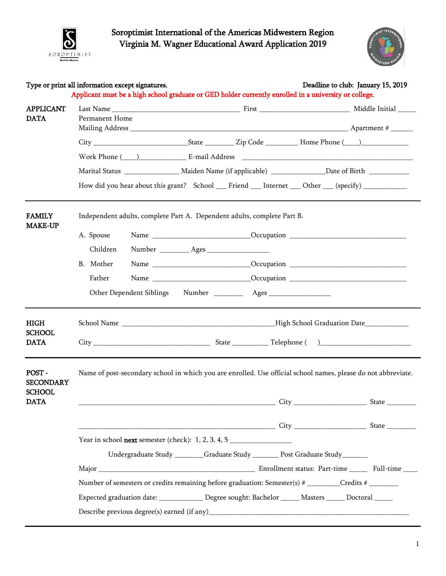

Soroptimist International of the Americas Midwestern Region Virginia M. Wagner Educational Award Application 2019



|                                            | Type or print all information except signatures.                                                     | Applicant must be a high school graduate or GED holder currently enrolled in a university or college.         | Deadline to club: January 15, 2019 |  |  |
|--------------------------------------------|------------------------------------------------------------------------------------------------------|---------------------------------------------------------------------------------------------------------------|------------------------------------|--|--|
| <b>APPLICANT</b><br><b>DATA</b>            | Permanent Home                                                                                       |                                                                                                               |                                    |  |  |
|                                            |                                                                                                      |                                                                                                               |                                    |  |  |
|                                            |                                                                                                      |                                                                                                               |                                    |  |  |
|                                            |                                                                                                      |                                                                                                               |                                    |  |  |
|                                            |                                                                                                      | Marital Status ___________________ Maiden Name (if applicable) ________________Date of Birth _____________    |                                    |  |  |
|                                            |                                                                                                      | How did you hear about this grant? School ___ Friend ___ Internet ___ Other ___ (specify) __________          |                                    |  |  |
| <b>FAMILY</b><br><b>MAKE-UP</b>            |                                                                                                      | Independent adults, complete Part A. Dependent adults, complete Part B.                                       |                                    |  |  |
|                                            | A. Spouse                                                                                            |                                                                                                               |                                    |  |  |
|                                            | Children                                                                                             |                                                                                                               |                                    |  |  |
|                                            | B. Mother                                                                                            |                                                                                                               |                                    |  |  |
|                                            | Father                                                                                               |                                                                                                               |                                    |  |  |
|                                            | Other Dependent Siblings                                                                             |                                                                                                               |                                    |  |  |
| HIGH                                       |                                                                                                      |                                                                                                               |                                    |  |  |
| <b>SCHOOL</b><br><b>DATA</b>               |                                                                                                      |                                                                                                               |                                    |  |  |
| POST-<br><b>SECONDARY</b><br><b>SCHOOL</b> |                                                                                                      | Name of post-secondary school in which you are enrolled. Use official school names, please do not abbreviate. |                                    |  |  |
| <b>DATA</b>                                |                                                                                                      | $City_$                                                                                                       | State __                           |  |  |
|                                            |                                                                                                      |                                                                                                               |                                    |  |  |
|                                            | Year in school <b>next</b> semester (check): 1, 2, 3, 4, 5                                           |                                                                                                               |                                    |  |  |
|                                            |                                                                                                      | Undergraduate Study _______Graduate Study _______ Post Graduate Study_______                                  |                                    |  |  |
|                                            |                                                                                                      |                                                                                                               |                                    |  |  |
|                                            |                                                                                                      |                                                                                                               |                                    |  |  |
|                                            | Expected graduation date: ______________ Degree sought: Bachelor ______ Masters _____ Doctoral _____ |                                                                                                               |                                    |  |  |
|                                            |                                                                                                      |                                                                                                               |                                    |  |  |
|                                            |                                                                                                      |                                                                                                               |                                    |  |  |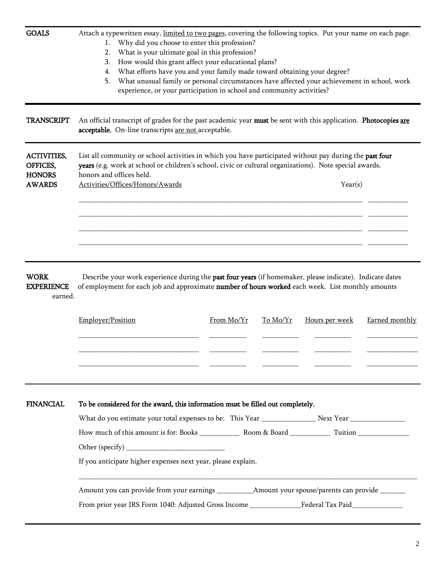| <b>TRANSCRIPT</b><br><b>ACTIVITIES,</b><br>OFFICES,<br><b>HONORS</b><br><b>AWARDS</b> | An official transcript of grades for the past academic year must be sent with this application. Photocopies are<br>acceptable. On-line transcripts are not acceptable.<br>List all community or school activities in which you have participated without pay during the past four<br>years (e.g. work at school or children's school, civic or cultural organizations). Note special awards,<br>honors and offices held.<br>Activities/Offices/Honors/Awards |            |          | Year(s)        |                |  |
|---------------------------------------------------------------------------------------|--------------------------------------------------------------------------------------------------------------------------------------------------------------------------------------------------------------------------------------------------------------------------------------------------------------------------------------------------------------------------------------------------------------------------------------------------------------|------------|----------|----------------|----------------|--|
|                                                                                       |                                                                                                                                                                                                                                                                                                                                                                                                                                                              |            |          |                |                |  |
|                                                                                       |                                                                                                                                                                                                                                                                                                                                                                                                                                                              |            |          |                |                |  |
|                                                                                       |                                                                                                                                                                                                                                                                                                                                                                                                                                                              |            |          |                |                |  |
| <b>WORK</b><br><b>EXPERIENCE</b><br>earned.                                           | Describe your work experience during the past four years (if homemaker, please indicate). Indicate dates<br>of employment for each job and approximate number of hours worked each week. List monthly amounts                                                                                                                                                                                                                                                |            |          |                |                |  |
|                                                                                       | Employer/Position                                                                                                                                                                                                                                                                                                                                                                                                                                            | From Mo/Yr | To Mo/Yr | Hours per week | Earned monthly |  |
|                                                                                       |                                                                                                                                                                                                                                                                                                                                                                                                                                                              |            |          |                |                |  |
| <b>FINANCIAL</b>                                                                      | To be considered for the award, this information must be filled out completely.                                                                                                                                                                                                                                                                                                                                                                              |            |          |                |                |  |
|                                                                                       |                                                                                                                                                                                                                                                                                                                                                                                                                                                              |            |          |                |                |  |
|                                                                                       |                                                                                                                                                                                                                                                                                                                                                                                                                                                              |            |          |                |                |  |
|                                                                                       |                                                                                                                                                                                                                                                                                                                                                                                                                                                              |            |          |                |                |  |
|                                                                                       | If you anticipate higher expenses next year, please explain.                                                                                                                                                                                                                                                                                                                                                                                                 |            |          |                |                |  |
|                                                                                       |                                                                                                                                                                                                                                                                                                                                                                                                                                                              |            |          |                |                |  |
|                                                                                       |                                                                                                                                                                                                                                                                                                                                                                                                                                                              |            |          |                |                |  |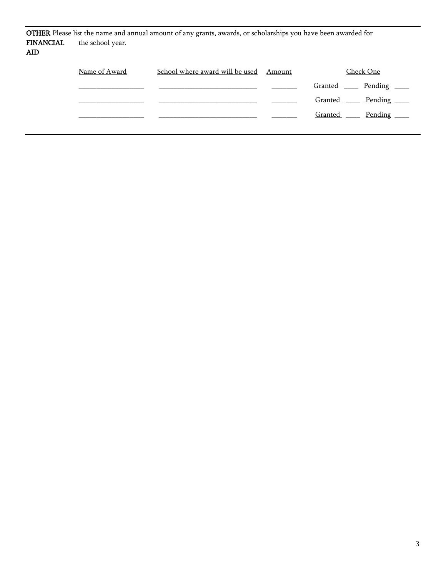|                  |                  | <b>OTHER</b> Please list the name and annual amount of any grants, awards, or scholarships you have been awarded for |        |           |
|------------------|------------------|----------------------------------------------------------------------------------------------------------------------|--------|-----------|
| <b>FINANCIAL</b> | the school year. |                                                                                                                      |        |           |
| AID.             |                  |                                                                                                                      |        |           |
|                  |                  |                                                                                                                      |        |           |
|                  | Name of Award    | School where award will be used                                                                                      | Amount | Check One |

|  |  | Granted <u>Dending</u> |                              |
|--|--|------------------------|------------------------------|
|  |  |                        | Granted <u>Dending</u>       |
|  |  |                        | Granted ______ Pending _____ |
|  |  |                        |                              |